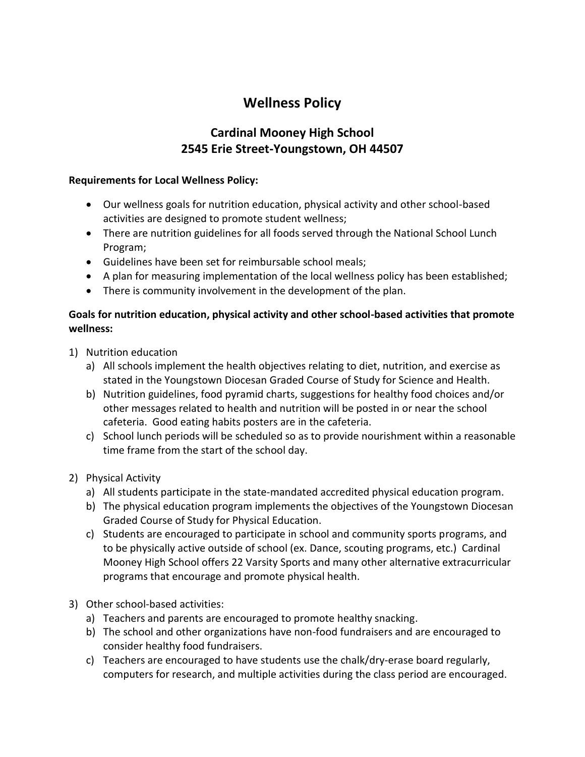# **Wellness Policy**

# **Cardinal Mooney High School 2545 Erie Street-Youngstown, OH 44507**

#### **Requirements for Local Wellness Policy:**

- Our wellness goals for nutrition education, physical activity and other school-based activities are designed to promote student wellness;
- There are nutrition guidelines for all foods served through the National School Lunch Program;
- Guidelines have been set for reimbursable school meals;
- A plan for measuring implementation of the local wellness policy has been established;
- There is community involvement in the development of the plan.

## **Goals for nutrition education, physical activity and other school-based activities that promote wellness:**

- 1) Nutrition education
	- a) All schools implement the health objectives relating to diet, nutrition, and exercise as stated in the Youngstown Diocesan Graded Course of Study for Science and Health.
	- b) Nutrition guidelines, food pyramid charts, suggestions for healthy food choices and/or other messages related to health and nutrition will be posted in or near the school cafeteria. Good eating habits posters are in the cafeteria.
	- c) School lunch periods will be scheduled so as to provide nourishment within a reasonable time frame from the start of the school day.
- 2) Physical Activity
	- a) All students participate in the state-mandated accredited physical education program.
	- b) The physical education program implements the objectives of the Youngstown Diocesan Graded Course of Study for Physical Education.
	- c) Students are encouraged to participate in school and community sports programs, and to be physically active outside of school (ex. Dance, scouting programs, etc.) Cardinal Mooney High School offers 22 Varsity Sports and many other alternative extracurricular programs that encourage and promote physical health.
- 3) Other school-based activities:
	- a) Teachers and parents are encouraged to promote healthy snacking.
	- b) The school and other organizations have non-food fundraisers and are encouraged to consider healthy food fundraisers.
	- c) Teachers are encouraged to have students use the chalk/dry-erase board regularly, computers for research, and multiple activities during the class period are encouraged.